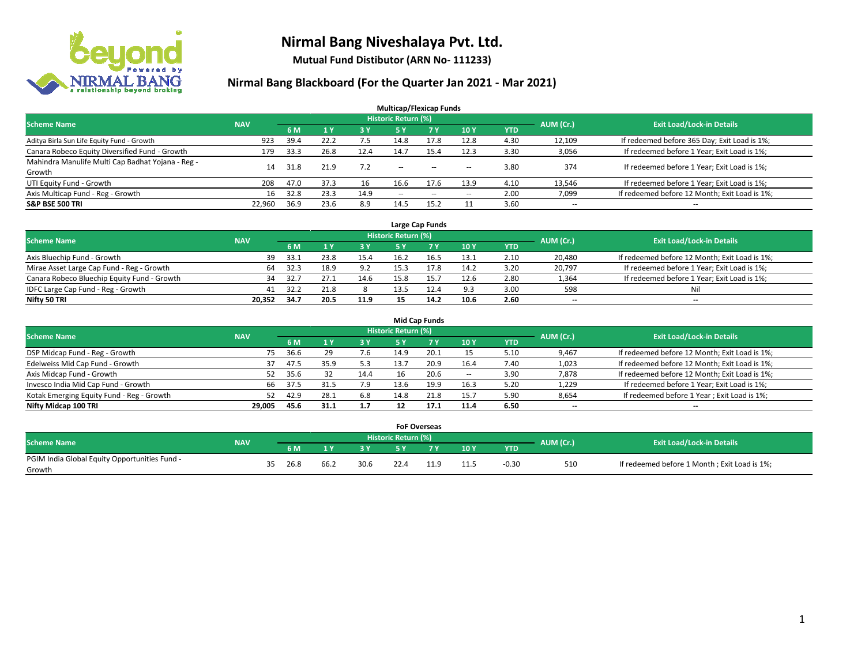

**Mutual Fund Distibutor (ARN No- 111233)**

| <b>Multicap/Flexicap Funds</b>                    |            |      |                |            |                            |            |                          |            |                          |                                               |  |  |  |
|---------------------------------------------------|------------|------|----------------|------------|----------------------------|------------|--------------------------|------------|--------------------------|-----------------------------------------------|--|--|--|
| <b>Scheme Name</b>                                | <b>NAV</b> |      |                |            | <b>Historic Return (%)</b> |            |                          |            | AUM (Cr.)                | <b>Exit Load/Lock-in Details</b>              |  |  |  |
|                                                   |            | 6 M  | 1 <sub>Y</sub> | <b>3 Y</b> | 5 Y                        | <b>7 Y</b> | 10Y                      | <b>YTD</b> |                          |                                               |  |  |  |
| Aditya Birla Sun Life Equity Fund - Growth        | 923        | 39.4 | 22.2           | 7.5        | 14.8                       | 17.8       | 12.8                     | 4.30       | 12,109                   | If redeemed before 365 Day; Exit Load is 1%;  |  |  |  |
| Canara Robeco Equity Diversified Fund - Growth    | 179        | 33.3 | 26.8           | 12.4       | 14.7                       | 15.4       | 12.3                     | 3.30       | 3,056                    | If redeemed before 1 Year; Exit Load is 1%;   |  |  |  |
| Mahindra Manulife Multi Cap Badhat Yojana - Reg - | 14         | 31.8 | 21.9           | 7.2        | $\sim$ $\sim$              | $- -$      |                          | 3.80       | 374                      | If redeemed before 1 Year; Exit Load is 1%;   |  |  |  |
| Growth                                            |            |      |                |            |                            |            | $\overline{\phantom{a}}$ |            |                          |                                               |  |  |  |
| UTI Equity Fund - Growth                          | 208        | 47.0 | 37.3           | 16         | 16.6                       | 17.6       | 13.9                     | 4.10       | 13,546                   | If redeemed before 1 Year; Exit Load is 1%;   |  |  |  |
| Axis Multicap Fund - Reg - Growth                 | 16         | 32.8 | 23.3           | 14.9       | $\overline{\phantom{a}}$   | $\sim$     | --                       | 2.00       | 7,099                    | If redeemed before 12 Month; Exit Load is 1%; |  |  |  |
| <b>S&amp;P BSE 500 TRI</b>                        | 22.960     | 36.9 | 23.6           | 8.9        | 14.5                       | 15.2       |                          | 3.60       | $\overline{\phantom{a}}$ | $- -$                                         |  |  |  |

|                                             |            |       |      |      |                            | Large Cap Funds |      |            |           |                                               |
|---------------------------------------------|------------|-------|------|------|----------------------------|-----------------|------|------------|-----------|-----------------------------------------------|
| <b>Scheme Name</b>                          | <b>NAV</b> |       |      |      | <b>Historic Return (%)</b> |                 |      |            | AUM (Cr.) | <b>Exit Load/Lock-in Details</b>              |
|                                             |            | 6 M   |      | 3Y   |                            | <b>7Y</b>       | 10Y  | <b>YTD</b> |           |                                               |
| Axis Bluechip Fund - Growth                 | 39         | 33.1  | 23.8 | 15.4 | 16.2                       | 16.5            | 13.1 | 2.10       | 20,480    | If redeemed before 12 Month; Exit Load is 1%; |
| Mirae Asset Large Cap Fund - Reg - Growth   | 64         | 32.3  | 18.9 | 9.2  | 15.3                       | 17.8            | 14.2 | 3.20       | 20,797    | If redeemed before 1 Year; Exit Load is 1%;   |
| Canara Robeco Bluechip Equity Fund - Growth | 34         | -32.7 |      | 14.6 |                            |                 | 12.6 | 2.80       | 1,364     | If redeemed before 1 Year; Exit Load is 1%;   |
| IDFC Large Cap Fund - Reg - Growth          | 41         | 32.7  | 21.8 |      | 13.5                       |                 | 9.3  | 3.00       | 598       | Nil                                           |
| Nifty 50 TRI                                | 20.352     | 34.7  | 20.5 | 11.9 |                            | 14.2            | 10.6 | 2.60       | $- -$     | $-$                                           |

| <b>Mid Cap Funds</b>                      |            |    |      |      |           |                            |      |       |            |                          |                                               |  |  |  |
|-------------------------------------------|------------|----|------|------|-----------|----------------------------|------|-------|------------|--------------------------|-----------------------------------------------|--|--|--|
| <b>Scheme Name</b>                        | <b>NAV</b> |    |      |      |           | <b>Historic Return (%)</b> |      |       |            | AUM (Cr.)                | <b>Exit Load/Lock-in Details</b>              |  |  |  |
|                                           |            |    | 6 M  |      | <b>3Y</b> | 5 Y                        |      | 10Y   | <b>YTD</b> |                          |                                               |  |  |  |
| DSP Midcap Fund - Reg - Growth            |            | 75 | 36.6 | 29   | 7.6       | 14.9                       | 20.1 |       | 5.10       | 9,467                    | If redeemed before 12 Month; Exit Load is 1%; |  |  |  |
| Edelweiss Mid Cap Fund - Growth           |            |    | 47.5 | 35.9 | 5.3       | 13.7                       | 20.9 | 16.4  | 7.40       | 1,023                    | If redeemed before 12 Month; Exit Load is 1%; |  |  |  |
| Axis Midcap Fund - Growth                 |            | 52 | 35.6 |      | 14.4      | 16                         | 20.6 | $\!-$ | 3.90       | 7,878                    | If redeemed before 12 Month; Exit Load is 1%; |  |  |  |
| Invesco India Mid Cap Fund - Growth       |            | 66 | 37.5 | 31.5 | 7.9       | 13.6                       | 19.9 | 16.3  | 5.20       | 1,229                    | If redeemed before 1 Year; Exit Load is 1%;   |  |  |  |
| Kotak Emerging Equity Fund - Reg - Growth |            | 52 | 42.9 | 28.1 | 6.8       | 14.8                       | 21.8 | 15.7  | 5.90       | 8,654                    | If redeemed before 1 Year; Exit Load is 1%;   |  |  |  |
| Nifty Midcap 100 TRI                      | 29.005     |    | 45.6 | 31.1 | 1.7       |                            | 17.1 | 11.4  | 6.50       | $\overline{\phantom{m}}$ | $\overline{\phantom{a}}$                      |  |  |  |

|                                                         |            |     |      |      |      | <b>FoF Overseas</b> |     |                 |            |           |                                              |
|---------------------------------------------------------|------------|-----|------|------|------|---------------------|-----|-----------------|------------|-----------|----------------------------------------------|
| Scheme Name                                             | <b>NAV</b> |     |      |      |      | Historic Return (%) |     |                 |            | AUM (Cr.) | <b>Exit Load/Lock-in Details</b>             |
|                                                         |            |     | 6 M  |      | o v  |                     | 7 V | 10Y             | <b>YTD</b> |           |                                              |
| PGIM India Global Equity Opportunities Fund -<br>Growth |            | 35. | 26.8 | 66.2 | 30.6 |                     |     | 11 E<br><b></b> | $-0.30$    | 510       | If redeemed before 1 Month; Exit Load is 1%; |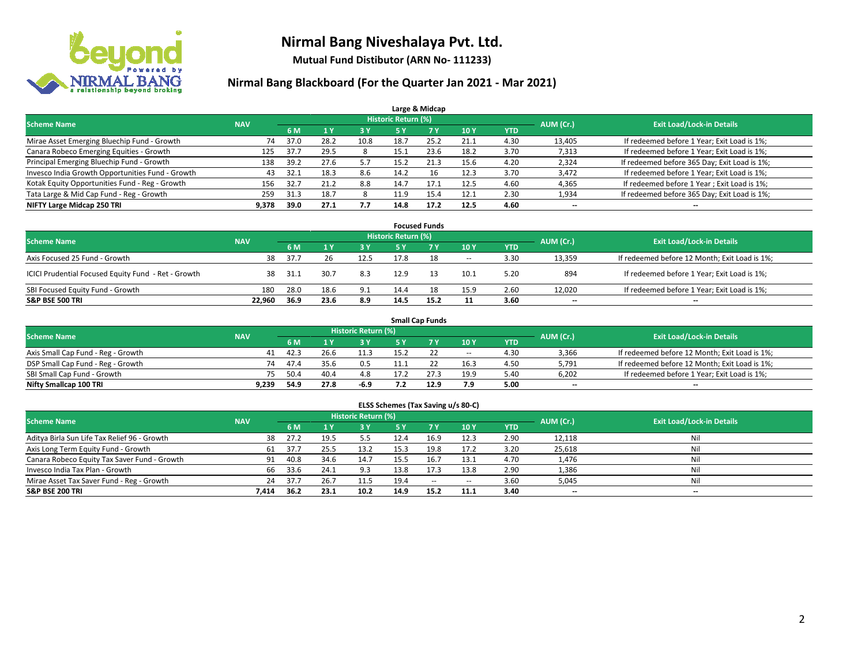

**Mutual Fund Distibutor (ARN No- 111233)**

| Large & Midcap                                   |            |      |      |      |                            |           |      |            |           |                                              |  |  |  |  |
|--------------------------------------------------|------------|------|------|------|----------------------------|-----------|------|------------|-----------|----------------------------------------------|--|--|--|--|
| <b>Scheme Name</b>                               | <b>NAV</b> |      |      |      | <b>Historic Return (%)</b> |           |      |            | AUM (Cr.) | <b>Exit Load/Lock-in Details</b>             |  |  |  |  |
|                                                  |            | 6 M  | 1 Y  | 73 Y | 5 Y                        | <b>7Y</b> | 10Y  | <b>YTD</b> |           |                                              |  |  |  |  |
| Mirae Asset Emerging Bluechip Fund - Growth      | 74         | 37.0 | 28.2 | 10.8 | 18.7                       | 25.2      | 21.1 | 4.30       | 13,405    | If redeemed before 1 Year; Exit Load is 1%;  |  |  |  |  |
| Canara Robeco Emerging Equities - Growth         | 125        | 37.7 | 29.5 |      | 15.1                       | 23.6      | 18.2 | 3.70       | 7,313     | If redeemed before 1 Year; Exit Load is 1%;  |  |  |  |  |
| Principal Emerging Bluechip Fund - Growth        | 138        | 39.2 | 27.6 | 5.7  | 15.2                       | 21.3      | 15.6 | 4.20       | 2,324     | If redeemed before 365 Day; Exit Load is 1%; |  |  |  |  |
| Invesco India Growth Opportunities Fund - Growth | 43         | 32.1 | 18.3 | 8.6  | 14.2                       | 16        | 12.3 | 3.70       | 3,472     | If redeemed before 1 Year; Exit Load is 1%;  |  |  |  |  |
| Kotak Equity Opportunities Fund - Reg - Growth   | 156        | 32.7 | 21.2 | 8.8  | 14.7                       | 17.1      | 12.5 | 4.60       | 4,365     | If redeemed before 1 Year; Exit Load is 1%;  |  |  |  |  |
| Tata Large & Mid Cap Fund - Reg - Growth         | 259        | 31.3 | 18.7 |      | 11.9                       | 15.4      | 12.1 | 2.30       | 1,934     | If redeemed before 365 Day; Exit Load is 1%; |  |  |  |  |
| NIFTY Large Midcap 250 TRI                       | 9.378      | 39.0 | 27.1 | 7.7  | 14.8                       | 17.2      | 12.5 | 4.60       | --        | --                                           |  |  |  |  |

|                                                     |            |      |      |      |                     | <b>Focused Funds</b> |        |            |           |                                               |
|-----------------------------------------------------|------------|------|------|------|---------------------|----------------------|--------|------------|-----------|-----------------------------------------------|
| <b>Scheme Name</b>                                  | <b>NAV</b> |      |      |      | Historic Return (%) |                      |        |            | AUM (Cr.) | <b>Exit Load/Lock-in Details</b>              |
|                                                     |            | 6 M  |      | 3 Y  | 5 ۷                 |                      | 10Y    | <b>YTD</b> |           |                                               |
| Axis Focused 25 Fund - Growth                       | 38         | 37.7 | 26   | 12.5 | 17.8                | 18                   | $\sim$ | 3.30       | 13,359    | If redeemed before 12 Month; Exit Load is 1%; |
| ICICI Prudential Focused Equity Fund - Ret - Growth | 38         | 31.1 | 30.7 | 8.3  | 12.9                |                      | 10.1   | 5.20       | 894       | If redeemed before 1 Year; Exit Load is 1%;   |
| SBI Focused Equity Fund - Growth                    | 180        | 28.0 | 18.6 | 9.1  | 14.4                | 18                   | 15.9   | 2.60       | 12,020    | If redeemed before 1 Year; Exit Load is 1%;   |
| <b>S&amp;P BSE 500 TRI</b>                          | 22.960     | 36.9 | 23.6 | 8.9  | 14.5                | 15.2                 | 11     | 3.60       | $- -$     | $\overline{\phantom{a}}$                      |

|                                    |            |           |                                  |       |      | <b>Small Cap Funds</b> |        |            |       |                                               |
|------------------------------------|------------|-----------|----------------------------------|-------|------|------------------------|--------|------------|-------|-----------------------------------------------|
| <b>Scheme Name</b>                 | <b>NAV</b> | AUM (Cr.) | <b>Exit Load/Lock-in Details</b> |       |      |                        |        |            |       |                                               |
|                                    |            | 6 M       |                                  | 73 Y. |      |                        | 10Y    | <b>YTD</b> |       |                                               |
| Axis Small Cap Fund - Reg - Growth | 41         | 42.3      | 26.6                             | 11.3  | 15.1 |                        | $\sim$ | 4.30       | 3,366 | If redeemed before 12 Month; Exit Load is 1%; |
| DSP Small Cap Fund - Reg - Growth  | 74         | 47.4      | 35.6                             | 0.5   |      |                        | 16.3   | 4.50       | 5,791 | If redeemed before 12 Month; Exit Load is 1%; |
| SBI Small Cap Fund - Growth        | 75         | 50.4      | 40.4                             | 4.8   |      |                        | 19.9   | 5.40       | 6,202 | If redeemed before 1 Year; Exit Load is 1%;   |
| Nifty Smallcap 100 TRI             | 9.239      | 54.9      | 27.8                             | -6.9  |      | 12.9                   | 7.9    | 5.00       | $- -$ | $\overline{\phantom{a}}$                      |

| ELSS Schemes (Tax Saving u/s 80-C)                                                                              |       |      |      |      |           |            |            |            |        |        |  |  |  |  |
|-----------------------------------------------------------------------------------------------------------------|-------|------|------|------|-----------|------------|------------|------------|--------|--------|--|--|--|--|
| <b>Historic Return (%)</b><br><b>Exit Load/Lock-in Details</b><br><b>Scheme Name</b><br>AUM (Cr.)<br><b>NAV</b> |       |      |      |      |           |            |            |            |        |        |  |  |  |  |
|                                                                                                                 |       | 6 M  | 71 Y | 3 Y  | <b>5Y</b> | <b>7 Y</b> | <b>10Y</b> | <b>YTD</b> |        |        |  |  |  |  |
| Aditya Birla Sun Life Tax Relief 96 - Growth                                                                    | 38    | 27.2 | 19.5 | 5.5  | 12.4      | 16.9       | 12.3       | 2.90       | 12,118 | Nil    |  |  |  |  |
| Axis Long Term Equity Fund - Growth                                                                             | 61    | 37.7 | 25.5 | 13.2 | 15.3      | 19.8       | 17.2       | 3.20       | 25,618 | Nil    |  |  |  |  |
| Canara Robeco Equity Tax Saver Fund - Growth                                                                    | 91    | 40.8 | 34.6 | 14.7 | 15.5      | 16.7       | 13.1       | 4.70       | 1,476  | Nil    |  |  |  |  |
| Invesco India Tax Plan - Growth                                                                                 | 66    | 33.6 | 24.1 | 9.3  | 13.8      | 17.3       | 13.8       | 2.90       | 1,386  | Nil    |  |  |  |  |
| Mirae Asset Tax Saver Fund - Reg - Growth                                                                       | 24    | 37.7 | 26.7 | 11.5 | 19.4      | $\sim$     | $\sim$     | 3.60       | 5,045  | Nil    |  |  |  |  |
| S&P BSE 200 TRI                                                                                                 | 7,414 | 36.2 | 23.1 | 10.2 | 14.9      | 15.2       | 11.1       | 3.40       | $- -$  | $\sim$ |  |  |  |  |
|                                                                                                                 |       |      |      |      |           |            |            |            |        |        |  |  |  |  |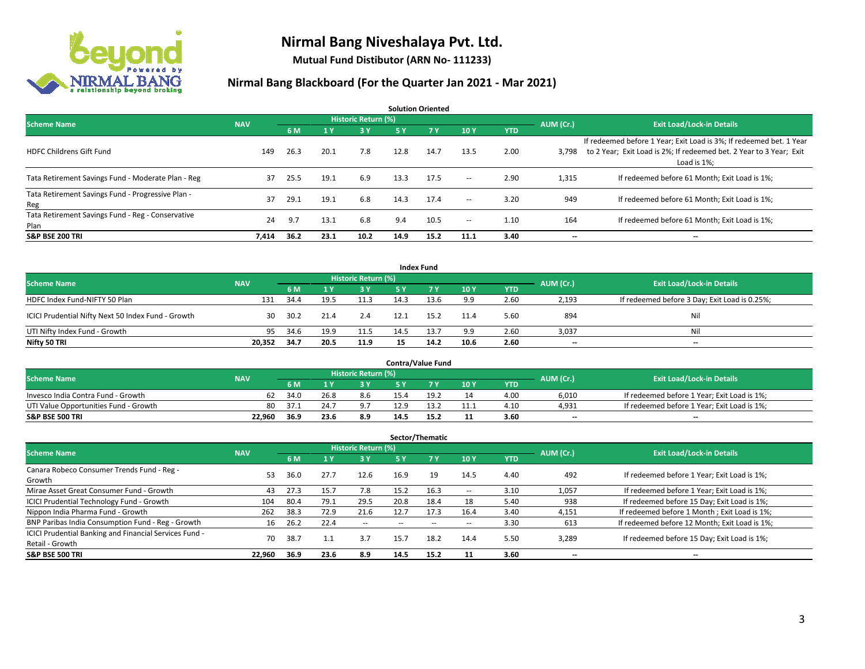

**Mutual Fund Distibutor (ARN No- 111233)**

| <b>Solution Oriented</b>                                  |            |      |      |                            |      |      |                          |            |           |                                                                                                                                                           |  |  |
|-----------------------------------------------------------|------------|------|------|----------------------------|------|------|--------------------------|------------|-----------|-----------------------------------------------------------------------------------------------------------------------------------------------------------|--|--|
| <b>Scheme Name</b>                                        | <b>NAV</b> |      |      | <b>Historic Return (%)</b> |      |      |                          |            | AUM (Cr.) | <b>Exit Load/Lock-in Details</b>                                                                                                                          |  |  |
|                                                           |            | 6 M  | 1 Y  | -3 Y                       | 5 Y  | 7 Y  | 10Y                      | <b>YTD</b> |           |                                                                                                                                                           |  |  |
| <b>HDFC Childrens Gift Fund</b>                           | 149        | 26.3 | 20.1 | 7.8                        | 12.8 | 14.7 | 13.5                     | 2.00       | 3,798     | If redeemed before 1 Year; Exit Load is 3%; If redeemed bet. 1 Year<br>to 2 Year; Exit Load is 2%; If redeemed bet. 2 Year to 3 Year; Exit<br>Load is 1%: |  |  |
| Tata Retirement Savings Fund - Moderate Plan - Reg        | 37         | 25.5 | 19.1 | 6.9                        | 13.3 | 17.5 | $\overline{\phantom{a}}$ | 2.90       | 1,315     | If redeemed before 61 Month; Exit Load is 1%;                                                                                                             |  |  |
| Tata Retirement Savings Fund - Progressive Plan -<br>Reg  | 37         | 29.1 | 19.1 | 6.8                        | 14.3 | 17.4 | $\sim$                   | 3.20       | 949       | If redeemed before 61 Month; Exit Load is 1%;                                                                                                             |  |  |
| Tata Retirement Savings Fund - Reg - Conservative<br>Plan | 24         | 9.7  | 13.1 | 6.8                        | 9.4  | 10.5 | $\!-$                    | 1.10       | 164       | If redeemed before 61 Month; Exit Load is 1%;                                                                                                             |  |  |
| <b>S&amp;P BSE 200 TRI</b>                                | 7,414      | 36.2 | 23.1 | 10.2                       | 14.9 | 15.2 | 11.1                     | 3.40       | --        | --                                                                                                                                                        |  |  |

|                                                    |            |                                  |      |      |      | <b>Index Fund</b> |      |            |       |                                               |
|----------------------------------------------------|------------|----------------------------------|------|------|------|-------------------|------|------------|-------|-----------------------------------------------|
| <b>Scheme Name</b>                                 | AUM (Cr.)  | <b>Exit Load/Lock-in Details</b> |      |      |      |                   |      |            |       |                                               |
|                                                    | <b>NAV</b> | 6 M                              |      | 3 Y  | 5 Y  | <b>7Y</b>         | 10Y  | <b>YTD</b> |       |                                               |
| HDFC Index Fund-NIFTY 50 Plan                      | 131        | 34.4                             | 19.5 | 11.3 | 14.3 | 13.6              | 9.9  | 2.60       | 2,193 | If redeemed before 3 Day; Exit Load is 0.25%; |
| ICICI Prudential Nifty Next 50 Index Fund - Growth | 30         | 30.2                             | 21.4 | 2.4  | 12.1 | 15.2              | 11.4 | 5.60       | 894   | Nil                                           |
| UTI Nifty Index Fund - Growth                      | 95         | 34.6                             | 19.9 | 11.5 | 14.5 | 13.7              | 9.9  | 2.60       | 3,037 | Nil                                           |
| Nifty 50 TRI                                       | 20,352     | 34.7                             | 20.5 | 11.9 | 15   | 14.2              | 10.6 | 2.60       | $-$   | $-$                                           |

|                                       |            |       |      |                     |      | <b>Contra/Value Fund</b> |      |      |           |                                             |
|---------------------------------------|------------|-------|------|---------------------|------|--------------------------|------|------|-----------|---------------------------------------------|
| <b>Scheme Name</b>                    | <b>NAV</b> |       |      | Historic Return (%) |      |                          |      |      | AUM (Cr.) | <b>Exit Load/Lock-in Details</b>            |
|                                       |            | 6 M   |      | 3 Y                 |      |                          | 10Y  | YTD  |           |                                             |
| Invesco India Contra Fund - Growth    | 62         | 34.0  | 26.8 | 8.6                 | 15.4 | 1Q 1                     | 14   | 4.00 | 6,010     | If redeemed before 1 Year; Exit Load is 1%; |
| UTI Value Opportunities Fund - Growth | 80         | -37.1 | 24.7 | 9.7                 | 12.9 |                          | 11.1 | 4.10 | 4,931     | If redeemed before 1 Year; Exit Load is 1%; |
| <b>S&amp;P BSE 500 TRI</b>            | 22.960     | 36.9  | 23.6 | 8.9                 | 14.5 | 15.2                     | 11   | 3.60 | $- -$     | $\overline{\phantom{a}}$                    |

| Sector/Thematic                                                           |            |      |                         |                     |      |      |      |            |           |                                               |  |  |
|---------------------------------------------------------------------------|------------|------|-------------------------|---------------------|------|------|------|------------|-----------|-----------------------------------------------|--|--|
| <b>Scheme Name</b>                                                        | <b>NAV</b> |      |                         | Historic Return (%) |      |      |      |            | AUM (Cr.) | <b>Exit Load/Lock-in Details</b>              |  |  |
|                                                                           |            | 6 M  | $\mathbf{1} \mathbf{y}$ | <b>3Y</b>           | 5 Y  | 7 Y  | 10Y  | <b>YTD</b> |           |                                               |  |  |
| Canara Robeco Consumer Trends Fund - Reg -<br>Growth                      | 53         | 36.0 | 27.7                    | 12.6                | 16.9 | 19   | 14.5 | 4.40       | 492       | If redeemed before 1 Year; Exit Load is 1%;   |  |  |
| Mirae Asset Great Consumer Fund - Growth                                  | 43         | 27.3 | 15.7                    | 7.8                 | 15.2 | 16.3 | --   | 3.10       | 1,057     | If redeemed before 1 Year; Exit Load is 1%;   |  |  |
| ICICI Prudential Technology Fund - Growth                                 | 104        | 80.4 | 79.1                    | 29.5                | 20.8 | 18.4 | 18   | 5.40       | 938       | If redeemed before 15 Day; Exit Load is 1%;   |  |  |
| Nippon India Pharma Fund - Growth                                         | 262        | 38.3 | 72.9                    | 21.6                | 12.7 | 17.3 | 16.4 | 3.40       | 4,151     | If redeemed before 1 Month; Exit Load is 1%;  |  |  |
| BNP Paribas India Consumption Fund - Reg - Growth                         | 16         | 26.2 | 22.4                    | $\sim$              | --   | --   | --   | 3.30       | 613       | If redeemed before 12 Month; Exit Load is 1%; |  |  |
| ICICI Prudential Banking and Financial Services Fund -<br>Retail - Growth | 70         | 38.7 |                         | 3.7                 | 15.7 | 18.2 | 14.4 | 5.50       | 3,289     | If redeemed before 15 Day; Exit Load is 1%;   |  |  |
| <b>S&amp;P BSE 500 TRI</b>                                                | 22.960     | 36.9 | 23.6                    | 8.9                 | 14.5 | 15.2 |      | 3.60       | --        | --                                            |  |  |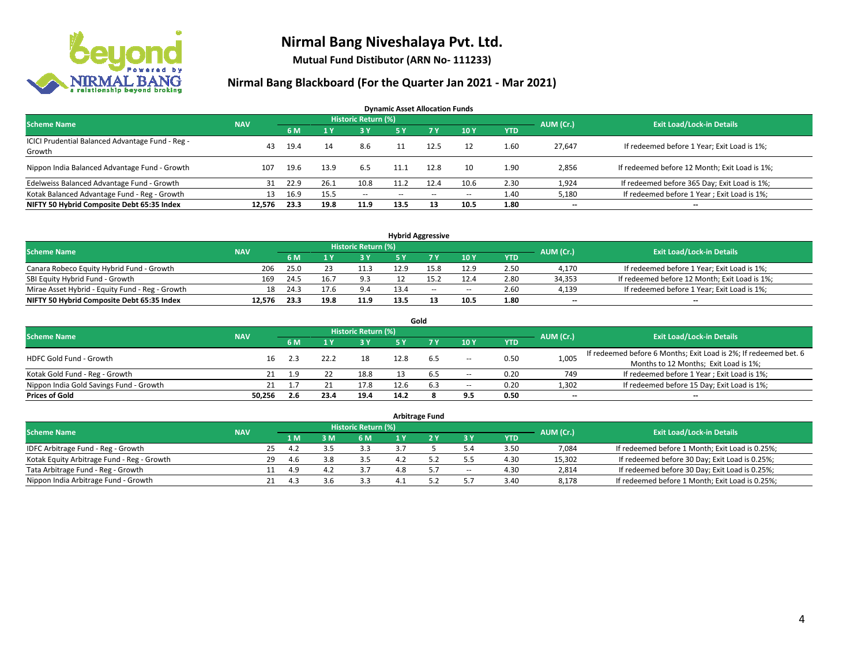

**Mutual Fund Distibutor (ARN No- 111233)**

| <b>Dynamic Asset Allocation Funds</b>                      |            |      |      |                     |      |        |                          |            |                          |                                               |  |  |  |
|------------------------------------------------------------|------------|------|------|---------------------|------|--------|--------------------------|------------|--------------------------|-----------------------------------------------|--|--|--|
| <b>Scheme Name</b>                                         | <b>NAV</b> |      |      | Historic Return (%) |      |        |                          |            | AUM (Cr.)                | <b>Exit Load/Lock-in Details</b>              |  |  |  |
|                                                            |            | 6 M  |      | 3 Y                 | 5 Y  | 7Y     | 10Y                      | <b>YTD</b> |                          |                                               |  |  |  |
| ICICI Prudential Balanced Advantage Fund - Reg -<br>Growth | 43         | 19.4 | 14   | 8.6                 |      | 12.5   | 12                       | 1.60       | 27,647                   | If redeemed before 1 Year; Exit Load is 1%;   |  |  |  |
| Nippon India Balanced Advantage Fund - Growth              | 107        | 19.6 | 13.9 | 6.5                 | 11.1 | 12.8   | 10                       | 1.90       | 2,856                    | If redeemed before 12 Month; Exit Load is 1%; |  |  |  |
| Edelweiss Balanced Advantage Fund - Growth                 |            | 22.9 | 26.1 | 10.8                | 11.2 | 12.4   | 10.6                     | 2.30       | 1,924                    | If redeemed before 365 Day; Exit Load is 1%;  |  |  |  |
| Kotak Balanced Advantage Fund - Reg - Growth               | 13         | 16.9 | 15.5 | $\sim$              | --   | $\sim$ | $\hspace{0.05cm} \cdots$ | 1.40       | 5,180                    | If redeemed before 1 Year; Exit Load is 1%;   |  |  |  |
| NIFTY 50 Hybrid Composite Debt 65:35 Index                 | 12.576     | 23.3 | 19.8 | 11.9                | 13.5 | 13     | 10.5                     | 1.80       | $\overline{\phantom{a}}$ | $- -$                                         |  |  |  |

| <b>Hybrid Aggressive</b>                        |            |           |                                  |      |      |        |      |            |        |                                               |  |  |  |
|-------------------------------------------------|------------|-----------|----------------------------------|------|------|--------|------|------------|--------|-----------------------------------------------|--|--|--|
| <b>Scheme Name</b>                              | <b>NAV</b> | AUM (Cr.) | <b>Exit Load/Lock-in Details</b> |      |      |        |      |            |        |                                               |  |  |  |
|                                                 |            |           |                                  | 3 Y  |      |        | 10Y  | <b>YTD</b> |        |                                               |  |  |  |
| Canara Robeco Equity Hybrid Fund - Growth       | 206        | 25.0      |                                  | 11.3 | 12.9 |        | 12.9 | 2.50       | 4,170  | If redeemed before 1 Year; Exit Load is 1%;   |  |  |  |
| SBI Equity Hybrid Fund - Growth                 | 169        | 24.5      | 16.7                             | 9.3  |      |        | 12.4 | 2.80       | 34,353 | If redeemed before 12 Month; Exit Load is 1%; |  |  |  |
| Mirae Asset Hybrid - Equity Fund - Reg - Growth | 18         | 24.3      |                                  | 9.4  | 13.4 | $\sim$ | $-$  | 2.60       | 4,139  | If redeemed before 1 Year; Exit Load is 1%;   |  |  |  |
| NIFTY 50 Hybrid Composite Debt 65:35 Index      | 12.576     | 23.3      | 19.8                             | 11.9 | 13.5 |        | 10.5 | 1.80       | $- -$  | $-$                                           |  |  |  |

| Gold                                    |            |     |      |                     |      |     |                          |            |                          |                                                                  |  |  |  |
|-----------------------------------------|------------|-----|------|---------------------|------|-----|--------------------------|------------|--------------------------|------------------------------------------------------------------|--|--|--|
| <b>Scheme Name</b>                      | <b>NAV</b> |     |      | Historic Return (%) |      |     |                          |            | AUM (Cr.)                | <b>Exit Load/Lock-in Details</b>                                 |  |  |  |
|                                         |            | 6 M |      | 3 Y                 | 5 Y  |     | 10Y                      | <b>YTD</b> |                          |                                                                  |  |  |  |
| HDFC Gold Fund - Growth                 | 16         | 2.3 |      | 18                  | 12.8 | 6.5 |                          | 0.50       | 1,005                    | If redeemed before 6 Months; Exit Load is 2%; If redeemed bet. 6 |  |  |  |
|                                         |            |     |      |                     |      |     | $\sim$                   |            |                          | Months to 12 Months; Exit Load is 1%;                            |  |  |  |
| Kotak Gold Fund - Reg - Growth          |            | 1.9 |      | 18.8                |      | 6.5 | $\overline{\phantom{a}}$ | 0.20       | 749                      | If redeemed before 1 Year; Exit Load is 1%;                      |  |  |  |
| Nippon India Gold Savings Fund - Growth | 21         |     |      | 17.8                | 12.6 | 6.3 | $\overline{\phantom{a}}$ | 0.20       | 1,302                    | If redeemed before 15 Day; Exit Load is 1%;                      |  |  |  |
| <b>Prices of Gold</b>                   | 50.256     | 2.6 | 23.4 | 19.4                | 14.2 |     | 9.5                      | 0.50       | $\overline{\phantom{a}}$ | --                                                               |  |  |  |

| <b>Arbitrage Fund</b>                      |            |     |     |   |                            |     |  |                          |            |           |                                                 |  |  |
|--------------------------------------------|------------|-----|-----|---|----------------------------|-----|--|--------------------------|------------|-----------|-------------------------------------------------|--|--|
| <b>Scheme Name</b>                         | <b>NAV</b> |     |     |   | <b>Historic Return (%)</b> |     |  |                          |            | AUM (Cr.) | <b>Exit Load/Lock-in Details</b>                |  |  |
|                                            |            |     | 1 M | M | 6 M                        |     |  | <b>3Y</b>                | <b>YTD</b> |           |                                                 |  |  |
| IDFC Arbitrage Fund - Reg - Growth         |            | 25  | 4.2 |   | 3.3                        |     |  |                          | 3.50       | 7,084     | If redeemed before 1 Month; Exit Load is 0.25%; |  |  |
| Kotak Equity Arbitrage Fund - Reg - Growth |            | 29  | 4.6 |   | 3.5                        |     |  |                          | 4.30       | 15,302    | If redeemed before 30 Day; Exit Load is 0.25%;  |  |  |
| Tata Arbitrage Fund - Reg - Growth         |            |     | 4.9 |   |                            | 4.8 |  | $\overline{\phantom{a}}$ | 4.30       | 2,814     | If redeemed before 30 Day; Exit Load is 0.25%;  |  |  |
| Nippon India Arbitrage Fund - Growth       |            | 21. | 4.3 |   | 3.3                        |     |  |                          | 3.40       | 8,178     | If redeemed before 1 Month; Exit Load is 0.25%; |  |  |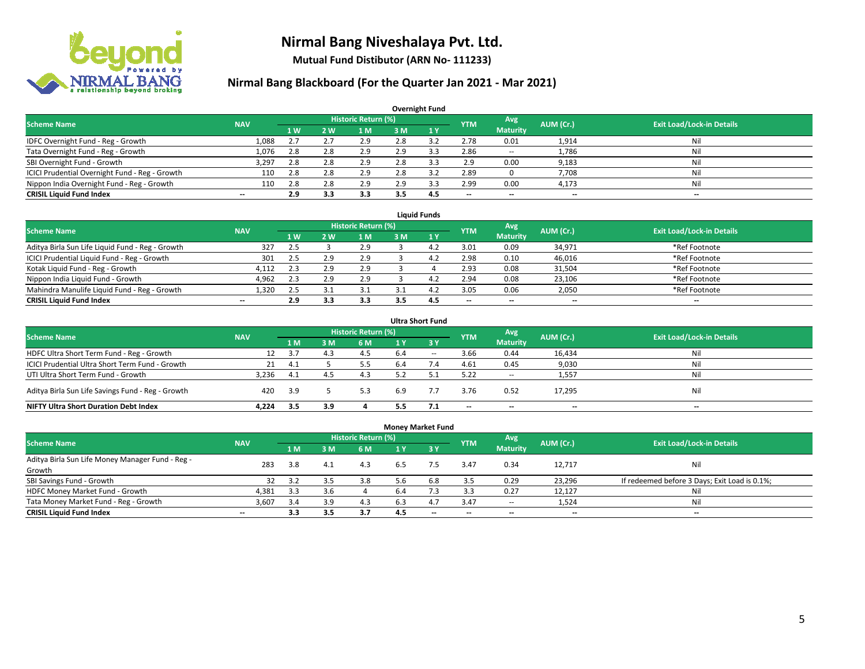

**Mutual Fund Distibutor (ARN No- 111233)**

| <b>Overnight Fund</b>                          |                          |                |     |                            |     |     |                          |                          |           |                                  |  |  |  |  |
|------------------------------------------------|--------------------------|----------------|-----|----------------------------|-----|-----|--------------------------|--------------------------|-----------|----------------------------------|--|--|--|--|
| <b>Scheme Name</b>                             | <b>NAV</b>               |                |     | <b>Historic Return (%)</b> |     |     | <b>YTM</b>               | <b>Avg</b>               | AUM (Cr.) | <b>Exit Load/Lock-in Details</b> |  |  |  |  |
|                                                |                          | 1 <sub>W</sub> | 2 W | l M                        | 3 M | 1Y  |                          | <b>Maturity</b>          |           |                                  |  |  |  |  |
| IDFC Overnight Fund - Reg - Growth             | 1,088                    | 2.7            | 2.7 | 2.9                        | 2.8 | 3.2 | 2.78                     | 0.01                     | 1,914     | Nil                              |  |  |  |  |
| Tata Overnight Fund - Reg - Growth             | 1,076                    | 2.8            | 2.8 | 2.9                        | 2.9 | 3.3 | 2.86                     | $\overline{\phantom{a}}$ | 1,786     | Nil                              |  |  |  |  |
| SBI Overnight Fund - Growth                    | 3,297                    | 2.8            | 2.8 | 2.9                        | 2.8 |     | 2.9                      | 0.00                     | 9,183     | Nil                              |  |  |  |  |
| ICICI Prudential Overnight Fund - Reg - Growth | 110                      | 2.8            | 2.8 | 2.9                        | ۷.۵ | 3.2 | 2.89                     |                          | 7.708     | Nil                              |  |  |  |  |
| Nippon India Overnight Fund - Reg - Growth     | 110                      | 2.8            | 2.8 | 2.9                        | 2.9 |     | 2.99                     | 0.00                     | 4,173     | Nil                              |  |  |  |  |
| <b>CRISIL Liquid Fund Index</b>                | $\overline{\phantom{a}}$ | 2.9            | 3.3 | 3.3                        | 3.5 | 4.5 | $\overline{\phantom{a}}$ | $\overline{\phantom{a}}$ | $- -$     | $\overline{\phantom{a}}$         |  |  |  |  |

| <b>Liquid Funds</b>                              |            |                |     |                            |     |     |            |                          |                          |                                  |  |  |  |
|--------------------------------------------------|------------|----------------|-----|----------------------------|-----|-----|------------|--------------------------|--------------------------|----------------------------------|--|--|--|
| <b>Scheme Name</b>                               | <b>NAV</b> |                |     | <b>Historic Return (%)</b> |     |     | <b>YTM</b> | Avg                      | AUM (Cr.)                | <b>Exit Load/Lock-in Details</b> |  |  |  |
|                                                  |            | 1 <sub>W</sub> | 2 W | 1 M                        | з м |     |            | <b>Maturity</b>          |                          |                                  |  |  |  |
| Aditya Birla Sun Life Liquid Fund - Reg - Growth | 327        | 2.5            |     | 2.9                        |     | 4.  | 3.01       | 0.09                     | 34,971                   | *Ref Footnote                    |  |  |  |
| ICICI Prudential Liquid Fund - Reg - Growth      | 301        | 2.5            | າ ດ | 2.9                        |     | 4.  | 2.98       | 0.10                     | 46,016                   | *Ref Footnote                    |  |  |  |
| Kotak Liquid Fund - Reg - Growth                 | 4.112      | 2.3            | 2.9 | 2.9                        |     |     | 2.93       | 0.08                     | 31,504                   | *Ref Footnote                    |  |  |  |
| Nippon India Liquid Fund - Growth                | 4,962      | 2.3            |     | 2.9                        |     | 4.  | 2.94       | 0.08                     | 23,106                   | *Ref Footnote                    |  |  |  |
| Mahindra Manulife Liquid Fund - Reg - Growth     | 1.320      | 2.5            |     |                            |     | 4.  | 3.05       | 0.06                     | 2,050                    | *Ref Footnote                    |  |  |  |
| <b>CRISIL Liquid Fund Index</b>                  | $- -$      | 2.9            | 3.3 | 3.3                        |     | 4.5 | $- -$      | $\overline{\phantom{a}}$ | $\overline{\phantom{a}}$ | $-$                              |  |  |  |

| <b>Ultra Short Fund</b>                           |            |      |     |                            |     |        |            |                 |           |                                  |  |  |  |
|---------------------------------------------------|------------|------|-----|----------------------------|-----|--------|------------|-----------------|-----------|----------------------------------|--|--|--|
| <b>Scheme Name</b>                                | <b>NAV</b> |      |     | <b>Historic Return (%)</b> |     |        | <b>YTM</b> | Avg             | AUM (Cr.) | <b>Exit Load/Lock-in Details</b> |  |  |  |
|                                                   |            | 1 M  | 3 M | 6 M                        | 1 Y | -3 Y   |            | <b>Maturity</b> |           |                                  |  |  |  |
| HDFC Ultra Short Term Fund - Reg - Growth         | 12         | 3.7  | 4.3 | 4.5                        | 6.4 | $\sim$ | 3.66       | 0.44            | 16,434    | Nil                              |  |  |  |
| ICICI Prudential Ultra Short Term Fund - Growth   | 21         | -4.1 |     | 5.5                        | 6.4 | 7.4    | 4.61       | 0.45            | 9,030     | Nil                              |  |  |  |
| UTI Ultra Short Term Fund - Growth                | 3.236      | 4.1  |     | 4.3                        |     |        | 5.22       | $\sim$          | 1,557     | Nil                              |  |  |  |
| Aditya Birla Sun Life Savings Fund - Reg - Growth | 420        | 3.9  |     | 5.3                        | 6.9 |        | 3.76       | 0.52            | 17,295    | Nil                              |  |  |  |
| <b>NIFTY Ultra Short Duration Debt Index</b>      | 4.224      | 3.5  | 3.9 |                            | 5.5 |        | $- -$      | $- -$           | $- -$     | $\overline{\phantom{a}}$         |  |  |  |

| <b>Money Market Fund</b>                         |                          |     |     |                            |                |           |            |                 |           |                                               |  |  |  |  |
|--------------------------------------------------|--------------------------|-----|-----|----------------------------|----------------|-----------|------------|-----------------|-----------|-----------------------------------------------|--|--|--|--|
| <b>Scheme Name</b>                               | <b>NAV</b>               |     |     | <b>Historic Return (%)</b> |                |           | <b>YTM</b> | Avg             | AUM (Cr.) | <b>Exit Load/Lock-in Details</b>              |  |  |  |  |
|                                                  |                          | 1 M | 3M  | <b>6M</b>                  | 1 <sub>Y</sub> | $Z$ 3 $V$ |            | <b>Maturity</b> |           |                                               |  |  |  |  |
| Aditya Birla Sun Life Money Manager Fund - Reg - | 283                      | 3.8 | 4.1 | 4.3                        | 6.5            | 7.5       | 3.47       | 0.34            | 12,717    | Nil                                           |  |  |  |  |
| Growth                                           |                          |     |     |                            |                |           |            |                 |           |                                               |  |  |  |  |
| SBI Savings Fund - Growth                        | 32                       | 3.2 | 3.5 | 3.8                        | 5.6            | 6.8       | 3.5        | 0.29            | 23,296    | If redeemed before 3 Days; Exit Load is 0.1%; |  |  |  |  |
| HDFC Money Market Fund - Growth                  | 4,381                    | 3.3 | 3.6 |                            | 6.4            |           | 3.3        | 0.27            | 12,127    | Nil                                           |  |  |  |  |
| Tata Money Market Fund - Reg - Growth            | 3,607                    | 3.4 | 3.9 | 4.3                        | 6.3            | 4.7       | 3.47       | $\sim$          | 1,524     | Nil                                           |  |  |  |  |
| <b>CRISIL Liquid Fund Index</b>                  | $\overline{\phantom{a}}$ | 3.3 | 3.5 | 3.7                        | 4.5            | $- -$     | --         | $- -$           | $- -$     | $-$                                           |  |  |  |  |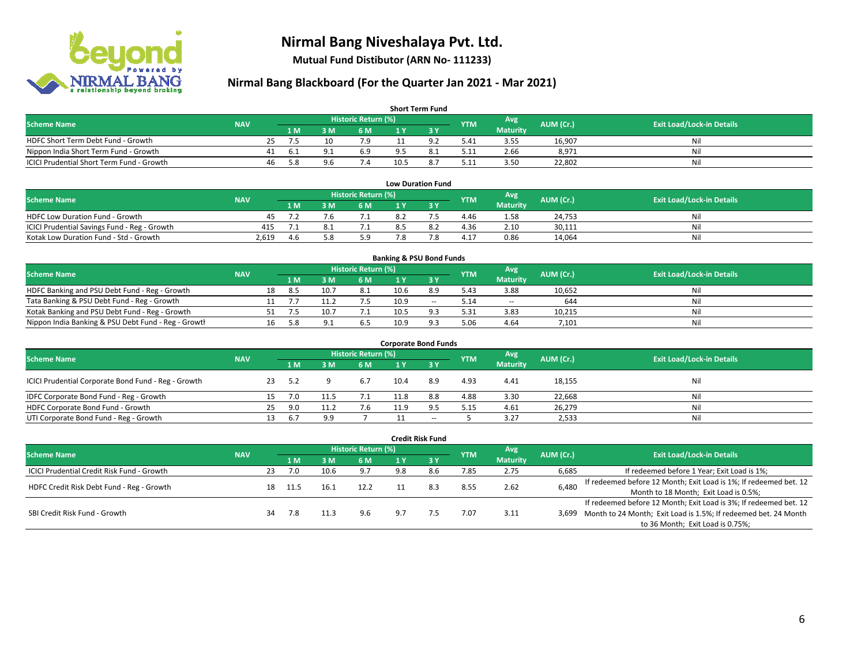

**Mutual Fund Distibutor (ARN No- 111233)**

| <b>Short Term Fund</b>                    |            |    |      |     |                            |      |    |            |                 |           |                                  |  |  |
|-------------------------------------------|------------|----|------|-----|----------------------------|------|----|------------|-----------------|-----------|----------------------------------|--|--|
| <b>Scheme Name</b>                        | <b>NAV</b> |    |      |     | <b>Historic Return (%)</b> |      |    | <b>YTM</b> | Avg             | AUM (Cr.) | <b>Exit Load/Lock-in Details</b> |  |  |
|                                           |            |    | 1 M. | 8 M | 6 M                        |      |    |            | <b>Maturity</b> |           |                                  |  |  |
| HDFC Short Term Debt Fund - Growth        |            | 25 |      |     | 7.9                        |      |    | 5.41       | 3.55            | 16,907    | Ni                               |  |  |
| Nippon India Short Term Fund - Growth     |            | 41 | -6.1 |     | 6.9                        | 9.5  |    | 5.11       | 2.66            | 8,971     | Ni.                              |  |  |
| ICICI Prudential Short Term Fund - Growth |            | 46 | -5.8 | У.Ь | 7.4                        | 10.5 | 8. | 5.11       | 3.50            | 22,802    | Nil                              |  |  |

| <b>Low Duration Fund</b>                     |            |     |  |                     |     |  |            |                 |           |                                  |  |  |  |
|----------------------------------------------|------------|-----|--|---------------------|-----|--|------------|-----------------|-----------|----------------------------------|--|--|--|
| <b>Scheme Name</b>                           | <b>NAV</b> |     |  | Historic Return (%) |     |  | <b>YTM</b> | Avg             | AUM (Cr.) | <b>Exit Load/Lock-in Details</b> |  |  |  |
|                                              |            | 1 M |  | 6 M                 |     |  |            | <b>Maturity</b> |           |                                  |  |  |  |
| <b>HDFC Low Duration Fund - Growth</b>       | 45         |     |  |                     |     |  | 4.46       | 1.58            | 24,753    | Nil                              |  |  |  |
| ICICI Prudential Savings Fund - Reg - Growth | 415        |     |  |                     |     |  | 4.36       | 2.10            | 30,111    | Nil                              |  |  |  |
| Kotak Low Duration Fund - Std - Growth       | 2,619      | 4.6 |  | 5.9                 | 7.8 |  | 4.17       | 0.86            | 14,064    | Nil                              |  |  |  |

| <b>Banking &amp; PSU Bond Funds</b>                 |            |    |     |     |                     |      |                |            |                 |           |                                  |  |  |
|-----------------------------------------------------|------------|----|-----|-----|---------------------|------|----------------|------------|-----------------|-----------|----------------------------------|--|--|
| <b>Scheme Name</b>                                  | <b>NAV</b> |    |     |     | Historic Return (%) |      |                | <b>YTM</b> | Avg             | AUM (Cr.) | <b>Exit Load/Lock-in Details</b> |  |  |
|                                                     |            |    | 1 M | : M | 6 M                 |      |                |            | <b>Maturity</b> |           |                                  |  |  |
| HDFC Banking and PSU Debt Fund - Reg - Growth       |            | 18 | 8.5 | 10. | 8.1                 | 10.6 | 8.9            | 5.43       | 3.88            | 10.652    | Nil                              |  |  |
| Tata Banking & PSU Debt Fund - Reg - Growth         |            |    |     |     |                     | 10.9 | $\sim$         | 5.14       | $\sim$          | 644       | Nil                              |  |  |
| Kotak Banking and PSU Debt Fund - Reg - Growth      |            |    |     |     |                     | 10.5 | Q <sub>2</sub> | 5.31       | 3.83            | 10,215    | Nil                              |  |  |
| Nippon India Banking & PSU Debt Fund - Reg - Growth |            | 16 |     |     | b.5                 | 10.9 | 02             | 5.06       | 4.64            | 7,101     | Nil                              |  |  |

| <b>Corporate Bond Funds</b>                         |            |     |     |          |                     |      |        |            |                 |           |                                  |  |  |  |
|-----------------------------------------------------|------------|-----|-----|----------|---------------------|------|--------|------------|-----------------|-----------|----------------------------------|--|--|--|
| <b>Scheme Name</b>                                  | <b>NAV</b> |     |     |          | Historic Return (%) |      |        | <b>YTM</b> | Avg             | AUM (Cr.) | <b>Exit Load/Lock-in Details</b> |  |  |  |
|                                                     |            |     | 1 M | <b>M</b> | 6 M                 | 1 Y  |        |            | <b>Maturity</b> |           |                                  |  |  |  |
| ICICI Prudential Corporate Bond Fund - Reg - Growth |            | 23  | 5.2 |          | 6.7                 | 10.4 | 8.9    | 4.93       | 4.41            | 18,155    | Nil                              |  |  |  |
| IDFC Corporate Bond Fund - Reg - Growth             |            |     | 7.0 |          | 7.1                 |      | 8.8    | 4.88       | 3.30            | 22,668    | Nil                              |  |  |  |
| HDFC Corporate Bond Fund - Growth                   |            | 25  | 9.0 |          | 7.6                 | 11.9 | 9.5    | 5.15       | 4.61            | 26,279    | Nil                              |  |  |  |
| UTI Corporate Bond Fund - Reg - Growth              |            | 13. | 6.7 | 9.9      |                     |      | $\sim$ |            | 3.27            | 2,533     | Nil                              |  |  |  |

| <b>Credit Risk Fund</b>                    |            |    |                            |      |      |     |           |            |                 |           |                                                                       |  |
|--------------------------------------------|------------|----|----------------------------|------|------|-----|-----------|------------|-----------------|-----------|-----------------------------------------------------------------------|--|
| <b>Scheme Name</b>                         | <b>NAV</b> |    | <b>Historic Return (%)</b> |      |      |     |           |            | Avg             | AUM (Cr.) | <b>Exit Load/Lock-in Details</b>                                      |  |
|                                            |            |    | 1 M                        | 8 M  | 6 M  | 1 Y | $Z$ 3 $V$ | <b>YTM</b> | <b>Maturity</b> |           |                                                                       |  |
| ICICI Prudential Credit Risk Fund - Growth |            | 23 | 7.0                        | 10.6 | 9.7  | 9.8 | 8.6       | 7.85       | 2.75            | 6,685     | If redeemed before 1 Year; Exit Load is 1%;                           |  |
| HDFC Credit Risk Debt Fund - Reg - Growth  |            |    |                            | 16.1 | 12.2 |     |           | 8.55       | 2.62            | 6,480     | If redeemed before 12 Month; Exit Load is 1%; If redeemed bet. 12     |  |
|                                            |            | 18 | 11.5                       |      |      |     |           |            |                 |           | Month to 18 Month; Exit Load is 0.5%;                                 |  |
|                                            |            |    |                            |      |      |     |           |            |                 |           | If redeemed before 12 Month; Exit Load is 3%; If redeemed bet. 12     |  |
| SBI Credit Risk Fund - Growth              |            | 34 | 7.8                        |      | 9.6  | 9.7 |           | 7.07       | 3.11            |           | 3,699 Month to 24 Month; Exit Load is 1.5%; If redeemed bet. 24 Month |  |
|                                            |            |    |                            |      |      |     |           |            |                 |           | to 36 Month; Exit Load is 0.75%;                                      |  |